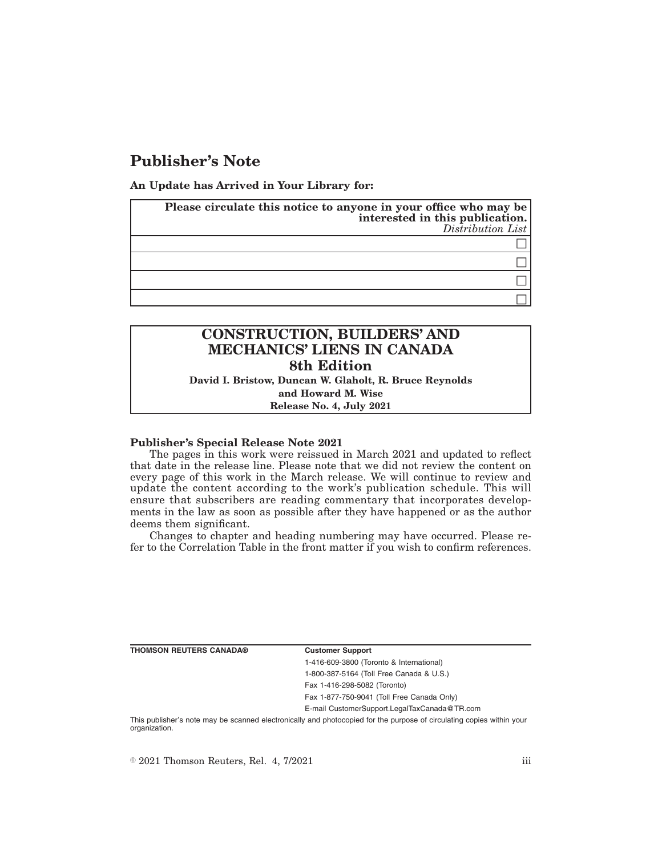## **Publisher's Note**

**An Update has Arrived in Your Library for:**

| Please circulate this notice to anyone in your office who may be<br>interested in this publication.<br>Distribution List |
|--------------------------------------------------------------------------------------------------------------------------|
|                                                                                                                          |
|                                                                                                                          |
|                                                                                                                          |
|                                                                                                                          |

## **CONSTRUCTION, BUILDERS' AND MECHANICS' LIENS IN CANADA 8th Edition David I. Bristow, Duncan W. Glaholt, R. Bruce Reynolds**

**and Howard M. Wise Release No. 4, July 2021**

## **Publisher's Special Release Note 2021**

The pages in this work were reissued in March 2021 and updated to reflect that date in the release line. Please note that we did not review the content on every page of this work in the March release. We will continue to review and update the content according to the work's publication schedule. This will ensure that subscribers are reading commentary that incorporates developments in the law as soon as possible after they have happened or as the author deems them significant.

Changes to chapter and heading numbering may have occurred. Please refer to the Correlation Table in the front matter if you wish to confirm references.

**THOMSON REUTERS CANADA® Customer Support**

1-416-609-3800 (Toronto & International) 1-800-387-5164 (Toll Free Canada & U.S.)

Fax 1-416-298-5082 (Toronto)

Fax 1-877-750-9041 (Toll Free Canada Only)

E-mail CustomerSupport.LegalTaxCanada@TR.com

This publisher's note may be scanned electronically and photocopied for the purpose of circulating copies within your organization.

 $\degree$  2021 Thomson Reuters, Rel. 4, 7/2021 iii